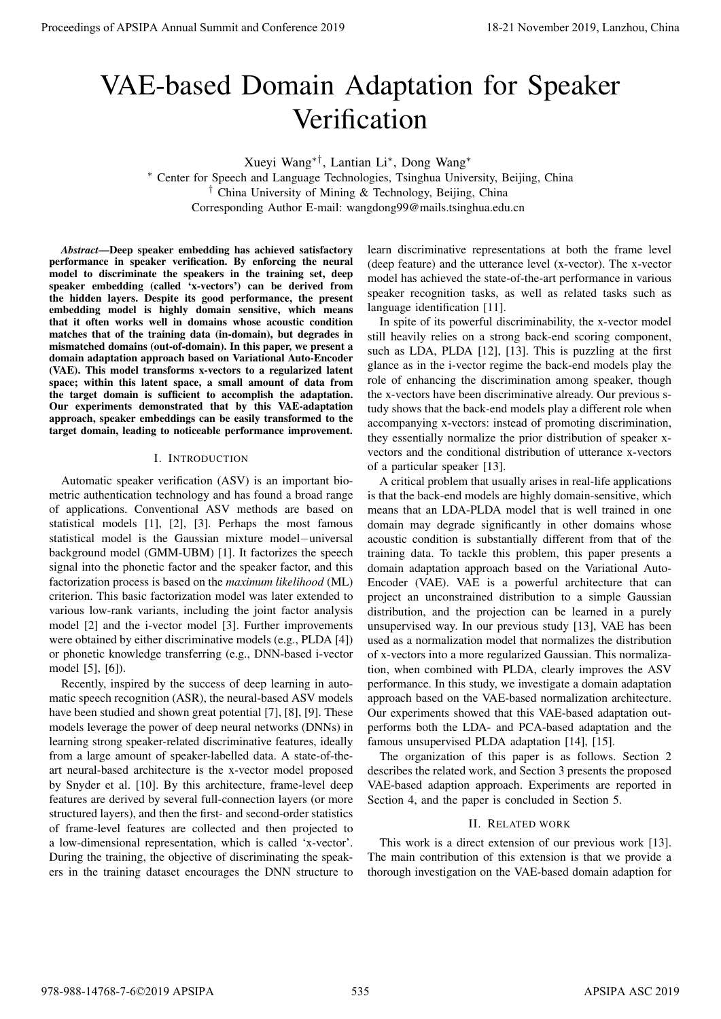# VAE-based Domain Adaptation for Speaker **Verification**

Xueyi Wang∗†, Lantian Li<sup>∗</sup> , Dong Wang<sup>∗</sup>

<sup>∗</sup> Center for Speech and Language Technologies, Tsinghua University, Beijing, China † China University of Mining & Technology, Beijing, China Corresponding Author E-mail: wangdong99@mails.tsinghua.edu.cn

*Abstract*—Deep speaker embedding has achieved satisfactory performance in speaker verification. By enforcing the neural model to discriminate the speakers in the training set, deep speaker embedding (called 'x-vectors') can be derived from the hidden layers. Despite its good performance, the present embedding model is highly domain sensitive, which means that it often works well in domains whose acoustic condition matches that of the training data (in-domain), but degrades in mismatched domains (out-of-domain). In this paper, we present a domain adaptation approach based on Variational Auto-Encoder (VAE). This model transforms x-vectors to a regularized latent space; within this latent space, a small amount of data from the target domain is sufficient to accomplish the adaptation. Our experiments demonstrated that by this VAE-adaptation approach, speaker embeddings can be easily transformed to the target domain, leading to noticeable performance improvement.

## I. INTRODUCTION

Automatic speaker verification (ASV) is an important biometric authentication technology and has found a broad range of applications. Conventional ASV methods are based on statistical models [1], [2], [3]. Perhaps the most famous statistical model is the Gaussian mixture model−universal background model (GMM-UBM) [1]. It factorizes the speech signal into the phonetic factor and the speaker factor, and this factorization process is based on the *maximum likelihood* (ML) criterion. This basic factorization model was later extended to various low-rank variants, including the joint factor analysis model [2] and the i-vector model [3]. Further improvements were obtained by either discriminative models (e.g., PLDA [4]) or phonetic knowledge transferring (e.g., DNN-based i-vector model [5], [6]).

Recently, inspired by the success of deep learning in automatic speech recognition (ASR), the neural-based ASV models have been studied and shown great potential [7], [8], [9]. These models leverage the power of deep neural networks (DNNs) in learning strong speaker-related discriminative features, ideally from a large amount of speaker-labelled data. A state-of-theart neural-based architecture is the x-vector model proposed by Snyder et al. [10]. By this architecture, frame-level deep features are derived by several full-connection layers (or more structured layers), and then the first- and second-order statistics of frame-level features are collected and then projected to a low-dimensional representation, which is called 'x-vector'. During the training, the objective of discriminating the speakers in the training dataset encourages the DNN structure to

learn discriminative representations at both the frame level (deep feature) and the utterance level (x-vector). The x-vector model has achieved the state-of-the-art performance in various speaker recognition tasks, as well as related tasks such as language identification [11].

In spite of its powerful discriminability, the x-vector model still heavily relies on a strong back-end scoring component, such as LDA, PLDA [12], [13]. This is puzzling at the first glance as in the i-vector regime the back-end models play the role of enhancing the discrimination among speaker, though the x-vectors have been discriminative already. Our previous study shows that the back-end models play a different role when accompanying x-vectors: instead of promoting discrimination, they essentially normalize the prior distribution of speaker xvectors and the conditional distribution of utterance x-vectors of a particular speaker [13].

A critical problem that usually arises in real-life applications is that the back-end models are highly domain-sensitive, which means that an LDA-PLDA model that is well trained in one domain may degrade significantly in other domains whose acoustic condition is substantially different from that of the training data. To tackle this problem, this paper presents a domain adaptation approach based on the Variational Auto-Encoder (VAE). VAE is a powerful architecture that can project an unconstrained distribution to a simple Gaussian distribution, and the projection can be learned in a purely unsupervised way. In our previous study [13], VAE has been used as a normalization model that normalizes the distribution of x-vectors into a more regularized Gaussian. This normalization, when combined with PLDA, clearly improves the ASV performance. In this study, we investigate a domain adaptation approach based on the VAE-based normalization architecture. Our experiments showed that this VAE-based adaptation outperforms both the LDA- and PCA-based adaptation and the famous unsupervised PLDA adaptation [14], [15]. **Proceedings of APSIPA Annual Summit at Conference 2019**<br> **VAE-bassed Domain Adaptation for Speaker** Value (1980)<br> **Variation in the speaker of the speaker and the speek of the speek of the speek of the speek of the speek** 

The organization of this paper is as follows. Section 2 describes the related work, and Section 3 presents the proposed VAE-based adaption approach. Experiments are reported in Section 4, and the paper is concluded in Section 5.

## II. RELATED WORK

This work is a direct extension of our previous work [13]. The main contribution of this extension is that we provide a thorough investigation on the VAE-based domain adaption for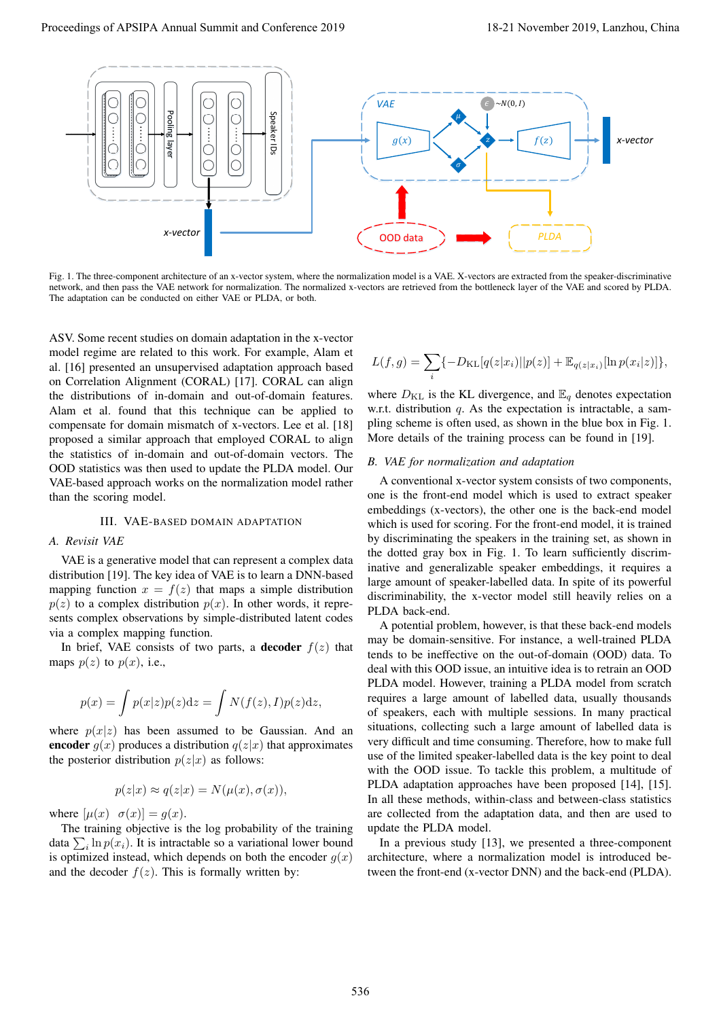

Fig. 1. The three-component architecture of an x-vector system, where the normalization model is a VAE. X-vectors are extracted from the speaker-discriminative network, and then pass the VAE network for normalization. The normalized x-vectors are retrieved from the bottleneck layer of the VAE and scored by PLDA. The adaptation can be conducted on either VAE or PLDA, or both.

ASV. Some recent studies on domain adaptation in the x-vector model regime are related to this work. For example, Alam et al. [16] presented an unsupervised adaptation approach based on Correlation Alignment (CORAL) [17]. CORAL can align the distributions of in-domain and out-of-domain features. Alam et al. found that this technique can be applied to compensate for domain mismatch of x-vectors. Lee et al. [18] proposed a similar approach that employed CORAL to align the statistics of in-domain and out-of-domain vectors. The OOD statistics was then used to update the PLDA model. Our VAE-based approach works on the normalization model rather than the scoring model.

#### III. VAE-BASED DOMAIN ADAPTATION

#### *A. Revisit VAE*

VAE is a generative model that can represent a complex data distribution [19]. The key idea of VAE is to learn a DNN-based mapping function  $x = f(z)$  that maps a simple distribution  $p(z)$  to a complex distribution  $p(x)$ . In other words, it represents complex observations by simple-distributed latent codes via a complex mapping function.

In brief, VAE consists of two parts, a **decoder**  $f(z)$  that maps  $p(z)$  to  $p(x)$ , i.e.,

$$
p(x) = \int p(x|z)p(z)dz = \int N(f(z), I)p(z)dz,
$$

where  $p(x|z)$  has been assumed to be Gaussian. And an encoder  $g(x)$  produces a distribution  $q(z|x)$  that approximates the posterior distribution  $p(z|x)$  as follows:

$$
p(z|x) \approx q(z|x) = N(\mu(x), \sigma(x)),
$$

where  $[\mu(x) \ \sigma(x)] = g(x)$ .

The training objective is the log probability of the training data  $\sum_i \ln p(x_i)$ . It is intractable so a variational lower bound is optimized instead, which depends on both the encoder  $g(x)$ and the decoder  $f(z)$ . This is formally written by:

$$
L(f,g) = \sum_{i} \{-D_{\text{KL}}[q(z|x_i)||p(z)] + \mathbb{E}_{q(z|x_i)}[\ln p(x_i|z)]\},\,
$$

where  $D_{\text{KL}}$  is the KL divergence, and  $\mathbb{E}_q$  denotes expectation w.r.t. distribution  $q$ . As the expectation is intractable, a sampling scheme is often used, as shown in the blue box in Fig. 1. More details of the training process can be found in [19].

## *B. VAE for normalization and adaptation*

A conventional x-vector system consists of two components, one is the front-end model which is used to extract speaker embeddings (x-vectors), the other one is the back-end model which is used for scoring. For the front-end model, it is trained by discriminating the speakers in the training set, as shown in the dotted gray box in Fig. 1. To learn sufficiently discriminative and generalizable speaker embeddings, it requires a large amount of speaker-labelled data. In spite of its powerful discriminability, the x-vector model still heavily relies on a PLDA back-end.

A potential problem, however, is that these back-end models may be domain-sensitive. For instance, a well-trained PLDA tends to be ineffective on the out-of-domain (OOD) data. To deal with this OOD issue, an intuitive idea is to retrain an OOD PLDA model. However, training a PLDA model from scratch requires a large amount of labelled data, usually thousands of speakers, each with multiple sessions. In many practical situations, collecting such a large amount of labelled data is very difficult and time consuming. Therefore, how to make full use of the limited speaker-labelled data is the key point to deal with the OOD issue. To tackle this problem, a multitude of PLDA adaptation approaches have been proposed [14], [15]. In all these methods, within-class and between-class statistics are collected from the adaptation data, and then are used to update the PLDA model.

In a previous study [13], we presented a three-component architecture, where a normalization model is introduced between the front-end (x-vector DNN) and the back-end (PLDA).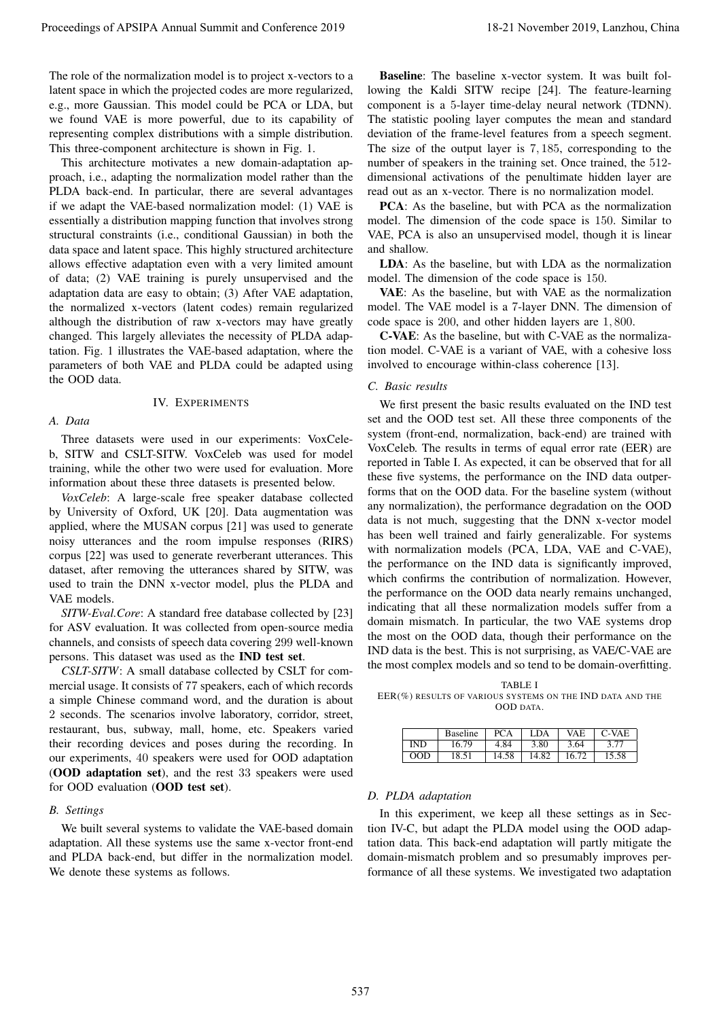The role of the normalization model is to project x-vectors to a latent space in which the projected codes are more regularized, e.g., more Gaussian. This model could be PCA or LDA, but we found VAE is more powerful, due to its capability of representing complex distributions with a simple distribution. This three-component architecture is shown in Fig. 1.

This architecture motivates a new domain-adaptation approach, i.e., adapting the normalization model rather than the PLDA back-end. In particular, there are several advantages if we adapt the VAE-based normalization model: (1) VAE is essentially a distribution mapping function that involves strong structural constraints (i.e., conditional Gaussian) in both the data space and latent space. This highly structured architecture allows effective adaptation even with a very limited amount of data; (2) VAE training is purely unsupervised and the adaptation data are easy to obtain; (3) After VAE adaptation, the normalized x-vectors (latent codes) remain regularized although the distribution of raw x-vectors may have greatly changed. This largely alleviates the necessity of PLDA adaptation. Fig. 1 illustrates the VAE-based adaptation, where the parameters of both VAE and PLDA could be adapted using the OOD data.

## *A. Data*

## IV. EXPERIMENTS

Three datasets were used in our experiments: VoxCeleb, SITW and CSLT-SITW. VoxCeleb was used for model training, while the other two were used for evaluation. More information about these three datasets is presented below.

*VoxCeleb*: A large-scale free speaker database collected by University of Oxford, UK [20]. Data augmentation was applied, where the MUSAN corpus [21] was used to generate noisy utterances and the room impulse responses (RIRS) corpus [22] was used to generate reverberant utterances. This dataset, after removing the utterances shared by SITW, was used to train the DNN x-vector model, plus the PLDA and VAE models.

*SITW-Eval.Core*: A standard free database collected by [23] for ASV evaluation. It was collected from open-source media channels, and consists of speech data covering 299 well-known persons. This dataset was used as the IND test set.

*CSLT-SITW*: A small database collected by CSLT for commercial usage. It consists of 77 speakers, each of which records a simple Chinese command word, and the duration is about 2 seconds. The scenarios involve laboratory, corridor, street, restaurant, bus, subway, mall, home, etc. Speakers varied their recording devices and poses during the recording. In our experiments, 40 speakers were used for OOD adaptation (OOD adaptation set), and the rest 33 speakers were used for OOD evaluation (OOD test set).

#### *B. Settings*

We built several systems to validate the VAE-based domain adaptation. All these systems use the same x-vector front-end and PLDA back-end, but differ in the normalization model. We denote these systems as follows.

Baseline: The baseline x-vector system. It was built following the Kaldi SITW recipe [24]. The feature-learning component is a 5-layer time-delay neural network (TDNN). The statistic pooling layer computes the mean and standard deviation of the frame-level features from a speech segment. The size of the output layer is 7, 185, corresponding to the number of speakers in the training set. Once trained, the 512 dimensional activations of the penultimate hidden layer are read out as an x-vector. There is no normalization model.

PCA: As the baseline, but with PCA as the normalization model. The dimension of the code space is 150. Similar to VAE, PCA is also an unsupervised model, though it is linear and shallow.

LDA: As the baseline, but with LDA as the normalization model. The dimension of the code space is 150.

VAE: As the baseline, but with VAE as the normalization model. The VAE model is a 7-layer DNN. The dimension of code space is 200, and other hidden layers are 1, 800.

C-VAE: As the baseline, but with C-VAE as the normalization model. C-VAE is a variant of VAE, with a cohesive loss involved to encourage within-class coherence [13].

#### *C. Basic results*

We first present the basic results evaluated on the IND test set and the OOD test set. All these three components of the system (front-end, normalization, back-end) are trained with VoxCeleb. The results in terms of equal error rate (EER) are reported in Table I. As expected, it can be observed that for all these five systems, the performance on the IND data outperforms that on the OOD data. For the baseline system (without any normalization), the performance degradation on the OOD data is not much, suggesting that the DNN x-vector model has been well trained and fairly generalizable. For systems with normalization models (PCA, LDA, VAE and C-VAE), the performance on the IND data is significantly improved, which confirms the contribution of normalization. However, the performance on the OOD data nearly remains unchanged, indicating that all these normalization models suffer from a domain mismatch. In particular, the two VAE systems drop the most on the OOD data, though their performance on the IND data is the best. This is not surprising, as VAE/C-VAE are the most complex models and so tend to be domain-overfitting. Proceedings of APSIPA Annual Summit at China 537 1981. The Victoria Conference 2019 18-21 November 2019 18-21 November 2019 18-21 November 2019 18-21 November 2019 18-21 November 2019 18-21 November 2019 18-21 November 20

TABLE I EER(%) RESULTS OF VARIOUS SYSTEMS ON THE IND DATA AND THE OOD DATA.

|            | <b>Baseline</b> | <b>PCA</b> | LDA   | <b>VAE</b> | $\mid$ C-VAE |
|------------|-----------------|------------|-------|------------|--------------|
| <b>IND</b> | 16.79           | 4.84       | 3.80  | 3.64       | 3.77         |
| OD         | 18.51           | 14.58      | 14.82 | 16.72      | 15.58        |

### *D. PLDA adaptation*

In this experiment, we keep all these settings as in Section IV-C, but adapt the PLDA model using the OOD adaptation data. This back-end adaptation will partly mitigate the domain-mismatch problem and so presumably improves performance of all these systems. We investigated two adaptation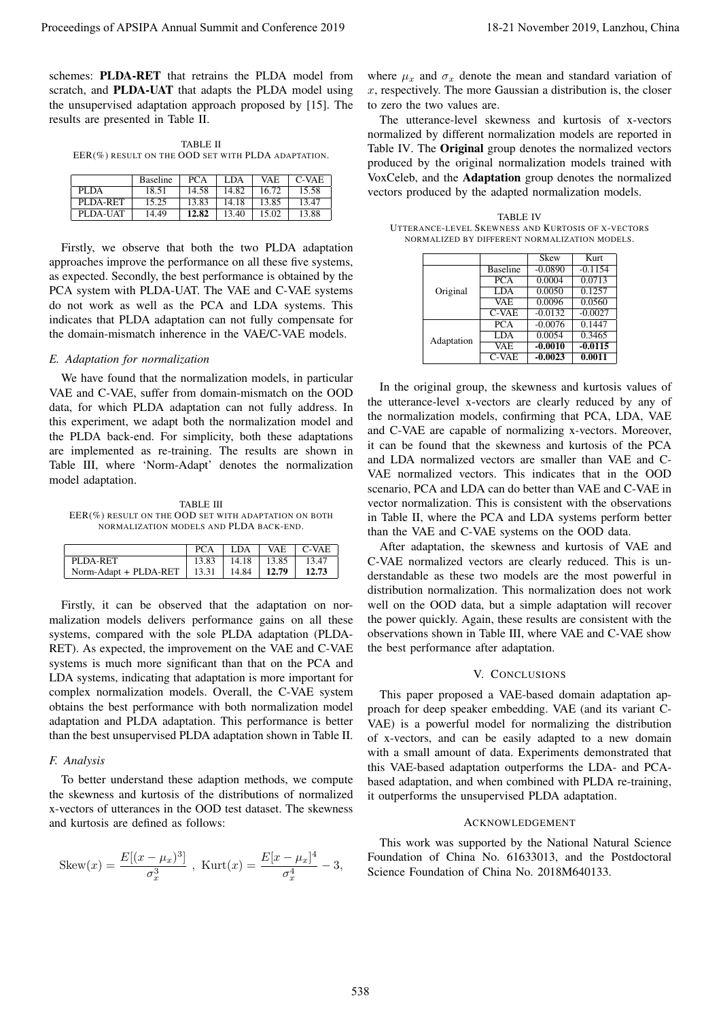schemes: PLDA-RET that retrains the PLDA model from scratch, and PLDA-UAT that adapts the PLDA model using the unsupervised adaptation approach proposed by [15]. The results are presented in Table II.

TABLE II EER(%) RESULT ON THE OOD SET WITH PLDA ADAPTATION.

|          | <b>Baseline</b> | <b>PCA</b> | LDA   | VAE   | $C-VAE$ |
|----------|-----------------|------------|-------|-------|---------|
| PLDA     | 18.51           | 14.58      | 14.82 | 16.72 | 15.58   |
| PLDA-RET | 15.25           | 13.83      | 14.18 | 13.85 | 13.47   |
| PLDA-UAT | 14.49           | 12.82      | 13.40 | 15.02 | 13.88   |

Firstly, we observe that both the two PLDA adaptation approaches improve the performance on all these five systems, as expected. Secondly, the best performance is obtained by the PCA system with PLDA-UAT. The VAE and C-VAE systems do not work as well as the PCA and LDA systems. This indicates that PLDA adaptation can not fully compensate for the domain-mismatch inherence in the VAE/C-VAE models.

## *E. Adaptation for normalization*

We have found that the normalization models, in particular VAE and C-VAE, suffer from domain-mismatch on the OOD data, for which PLDA adaptation can not fully address. In this experiment, we adapt both the normalization model and the PLDA back-end. For simplicity, both these adaptations are implemented as re-training. The results are shown in Table III, where 'Norm-Adapt' denotes the normalization model adaptation.

TABLE III EER(%) RESULT ON THE OOD SET WITH ADAPTATION ON BOTH NORMALIZATION MODELS AND PLDA BACK-END.

|                                                          | PCA |                         | ∣ LDA ∣ VAE ∣ C-VAE |
|----------------------------------------------------------|-----|-------------------------|---------------------|
| PLDA-RET                                                 |     | $13.83$   14.18   13.85 | 13.47               |
| Norm-Adapt + PLDA-RET   $13.31$   $14.84$   <b>12.79</b> |     |                         | 12.73               |

Firstly, it can be observed that the adaptation on normalization models delivers performance gains on all these systems, compared with the sole PLDA adaptation (PLDA-RET). As expected, the improvement on the VAE and C-VAE systems is much more significant than that on the PCA and LDA systems, indicating that adaptation is more important for complex normalization models. Overall, the C-VAE system obtains the best performance with both normalization model adaptation and PLDA adaptation. This performance is better than the best unsupervised PLDA adaptation shown in Table II.

## *F. Analysis*

To better understand these adaption methods, we compute the skewness and kurtosis of the distributions of normalized x-vectors of utterances in the OOD test dataset. The skewness and kurtosis are defined as follows:

Skew
$$
(x) = \frac{E[(x - \mu_x)^3]}{\sigma_x^3}
$$
, Kurt $(x) = \frac{E[x - \mu_x]^4}{\sigma_x^4} - 3$ ,

where  $\mu_x$  and  $\sigma_x$  denote the mean and standard variation of  $x$ , respectively. The more Gaussian a distribution is, the closer to zero the two values are.

The utterance-level skewness and kurtosis of x-vectors normalized by different normalization models are reported in Table IV. The Original group denotes the normalized vectors produced by the original normalization models trained with VoxCeleb, and the Adaptation group denotes the normalized vectors produced by the adapted normalization models.

TABLE IV UTTERANCE-LEVEL SKEWNESS AND KURTOSIS OF X-VECTORS NORMALIZED BY DIFFERENT NORMALIZATION MODELS.

|            |                 | Skew      | <b>Kurt</b> |
|------------|-----------------|-----------|-------------|
|            | <b>Baseline</b> | $-0.0890$ | $-0.1154$   |
|            | PCA             | 0.0004    | 0.0713      |
| Original   | <b>LDA</b>      | 0.0050    | 0.1257      |
|            | <b>VAE</b>      | 0.0096    | 0.0560      |
|            | $C-VAE$         | $-0.0132$ | $-0.0027$   |
|            | <b>PCA</b>      | $-0.0076$ | 0.1447      |
| Adaptation | LDA             | 0.0054    | 0.3465      |
|            | <b>VAE</b>      | $-0.0010$ | $-0.0115$   |
|            | $C-VAE$         | $-0.0023$ | 0.0011      |

In the original group, the skewness and kurtosis values of the utterance-level x-vectors are clearly reduced by any of the normalization models, confirming that PCA, LDA, VAE and C-VAE are capable of normalizing x-vectors. Moreover, it can be found that the skewness and kurtosis of the PCA and LDA normalized vectors are smaller than VAE and C-VAE normalized vectors. This indicates that in the OOD scenario, PCA and LDA can do better than VAE and C-VAE in vector normalization. This is consistent with the observations in Table II, where the PCA and LDA systems perform better than the VAE and C-VAE systems on the OOD data. Proceedings of APSIPA Annual Summit at China 2018 The material pair  $\frac{1}{2}$  November 2019, Land Annual Summit and Conference 2019, Land Annual Summit and the material pair of the material pair of the material pair of th

After adaptation, the skewness and kurtosis of VAE and C-VAE normalized vectors are clearly reduced. This is understandable as these two models are the most powerful in distribution normalization. This normalization does not work well on the OOD data, but a simple adaptation will recover the power quickly. Again, these results are consistent with the observations shown in Table III, where VAE and C-VAE show the best performance after adaptation.

## V. CONCLUSIONS

This paper proposed a VAE-based domain adaptation approach for deep speaker embedding. VAE (and its variant C-VAE) is a powerful model for normalizing the distribution of x-vectors, and can be easily adapted to a new domain with a small amount of data. Experiments demonstrated that this VAE-based adaptation outperforms the LDA- and PCAbased adaptation, and when combined with PLDA re-training, it outperforms the unsupervised PLDA adaptation.

#### ACKNOWLEDGEMENT

This work was supported by the National Natural Science Foundation of China No. 61633013, and the Postdoctoral Science Foundation of China No. 2018M640133.